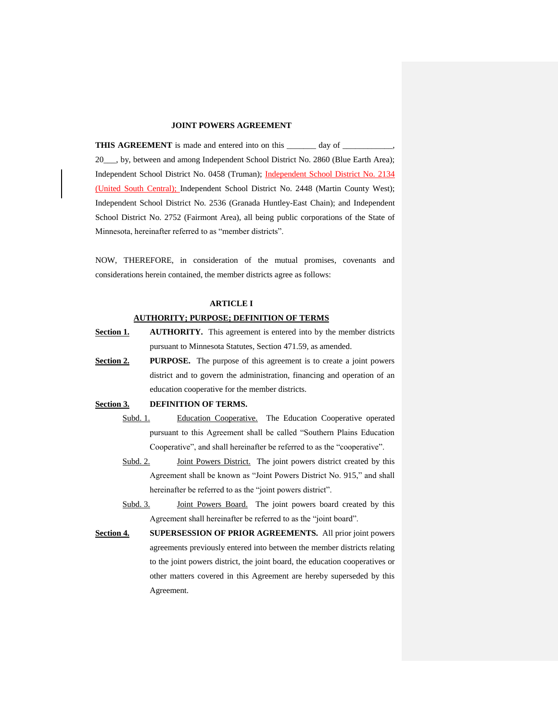## **JOINT POWERS AGREEMENT**

**THIS AGREEMENT** is made and entered into on this \_\_\_\_\_\_\_\_\_ day of \_\_\_\_\_\_\_\_\_\_\_\_\_\_ 20\_\_\_, by, between and among Independent School District No. 2860 (Blue Earth Area); Independent School District No. 0458 (Truman); Independent School District No. 2134 (United South Central); Independent School District No. 2448 (Martin County West); Independent School District No. 2536 (Granada Huntley-East Chain); and Independent School District No. 2752 (Fairmont Area), all being public corporations of the State of Minnesota, hereinafter referred to as "member districts".

NOW, THEREFORE, in consideration of the mutual promises, covenants and considerations herein contained, the member districts agree as follows:

#### **ARTICLE I**

#### **AUTHORITY; PURPOSE; DEFINITION OF TERMS**

- **Section 1. AUTHORITY.** This agreement is entered into by the member districts pursuant to Minnesota Statutes, Section 471.59, as amended.
- **Section 2. PURPOSE.** The purpose of this agreement is to create a joint powers district and to govern the administration, financing and operation of an education cooperative for the member districts.

## **Section 3. DEFINITION OF TERMS.**

- Subd. 1. Education Cooperative. The Education Cooperative operated pursuant to this Agreement shall be called "Southern Plains Education Cooperative", and shall hereinafter be referred to as the "cooperative".
- Subd. 2. Joint Powers District. The joint powers district created by this Agreement shall be known as "Joint Powers District No. 915," and shall hereinafter be referred to as the "joint powers district".
- Subd. 3. Joint Powers Board. The joint powers board created by this Agreement shall hereinafter be referred to as the "joint board".
- **Section 4. SUPERSESSION OF PRIOR AGREEMENTS.** All prior joint powers agreements previously entered into between the member districts relating to the joint powers district, the joint board, the education cooperatives or other matters covered in this Agreement are hereby superseded by this Agreement.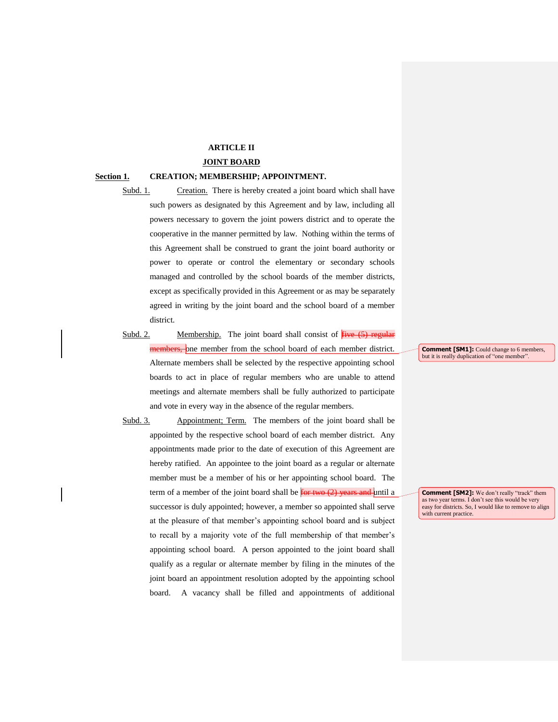# **ARTICLE II**

## **JOINT BOARD**

#### **Section 1. CREATION; MEMBERSHIP; APPOINTMENT.**

Subd. 1. Creation. There is hereby created a joint board which shall have such powers as designated by this Agreement and by law, including all powers necessary to govern the joint powers district and to operate the cooperative in the manner permitted by law. Nothing within the terms of this Agreement shall be construed to grant the joint board authority or power to operate or control the elementary or secondary schools managed and controlled by the school boards of the member districts, except as specifically provided in this Agreement or as may be separately agreed in writing by the joint board and the school board of a member district.

- Subd. 2. Membership. The joint board shall consist of  $f$ ive  $(5)$  regular one member from the school board of each member district. Alternate members shall be selected by the respective appointing school boards to act in place of regular members who are unable to attend meetings and alternate members shall be fully authorized to participate and vote in every way in the absence of the regular members.
- Subd. 3. Appointment; Term. The members of the joint board shall be appointed by the respective school board of each member district. Any appointments made prior to the date of execution of this Agreement are hereby ratified. An appointee to the joint board as a regular or alternate member must be a member of his or her appointing school board. The term of a member of the joint board shall be  $\frac{1}{2}$  for two (2) years and until a successor is duly appointed; however, a member so appointed shall serve at the pleasure of that member's appointing school board and is subject to recall by a majority vote of the full membership of that member's appointing school board. A person appointed to the joint board shall qualify as a regular or alternate member by filing in the minutes of the joint board an appointment resolution adopted by the appointing school board. A vacancy shall be filled and appointments of additional

**Comment [SM1]:** Could change to 6 members, but it is really duplication of "one member".

**Comment [SM2]:** We don't really "track" them as two year terms. I don't see this would be very easy for districts. So, I would like to remove to align with current practice.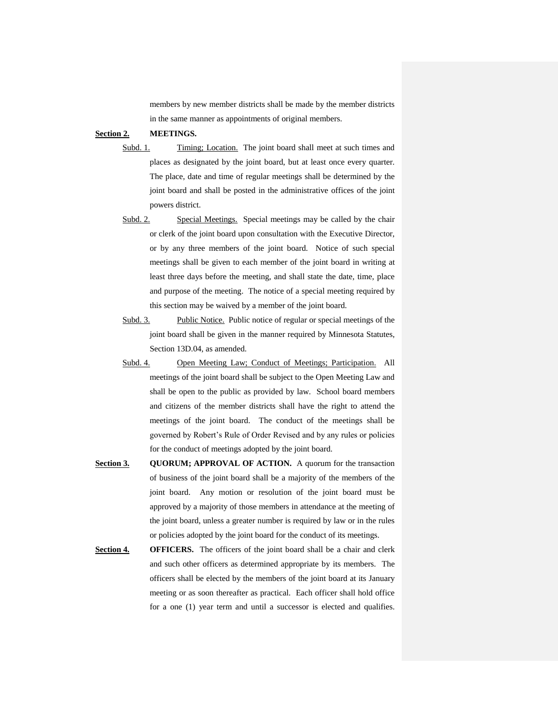members by new member districts shall be made by the member districts in the same manner as appointments of original members.

## **Section 2. MEETINGS.**

- Subd. 1. Timing; Location. The joint board shall meet at such times and places as designated by the joint board, but at least once every quarter. The place, date and time of regular meetings shall be determined by the joint board and shall be posted in the administrative offices of the joint powers district.
- Subd. 2. Special Meetings. Special meetings may be called by the chair or clerk of the joint board upon consultation with the Executive Director, or by any three members of the joint board. Notice of such special meetings shall be given to each member of the joint board in writing at least three days before the meeting, and shall state the date, time, place and purpose of the meeting. The notice of a special meeting required by this section may be waived by a member of the joint board.
- Subd. 3. Public Notice. Public notice of regular or special meetings of the joint board shall be given in the manner required by Minnesota Statutes, Section 13D.04, as amended.
- Subd. 4. Open Meeting Law; Conduct of Meetings; Participation. All meetings of the joint board shall be subject to the Open Meeting Law and shall be open to the public as provided by law. School board members and citizens of the member districts shall have the right to attend the meetings of the joint board. The conduct of the meetings shall be governed by Robert's Rule of Order Revised and by any rules or policies for the conduct of meetings adopted by the joint board.
- **Section 3. QUORUM; APPROVAL OF ACTION.** A quorum for the transaction of business of the joint board shall be a majority of the members of the joint board. Any motion or resolution of the joint board must be approved by a majority of those members in attendance at the meeting of the joint board, unless a greater number is required by law or in the rules or policies adopted by the joint board for the conduct of its meetings.
- **Section 4. OFFICERS.** The officers of the joint board shall be a chair and clerk and such other officers as determined appropriate by its members. The officers shall be elected by the members of the joint board at its January meeting or as soon thereafter as practical. Each officer shall hold office for a one (1) year term and until a successor is elected and qualifies.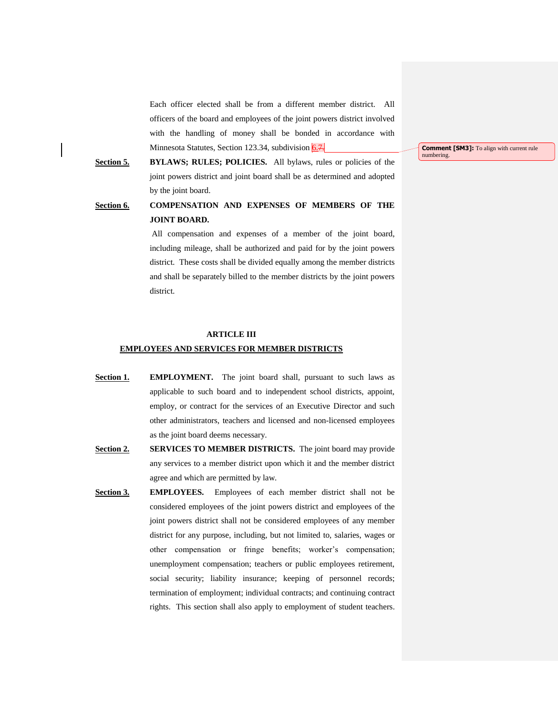Each officer elected shall be from a different member district. All officers of the board and employees of the joint powers district involved with the handling of money shall be bonded in accordance with Minnesota Statutes, Section 123.34, subdivision 6.7.

**Section 5. BYLAWS; RULES; POLICIES.** All bylaws, rules or policies of the joint powers district and joint board shall be as determined and adopted by the joint board.

# **Section 6. COMPENSATION AND EXPENSES OF MEMBERS OF THE JOINT BOARD.**

All compensation and expenses of a member of the joint board, including mileage, shall be authorized and paid for by the joint powers district. These costs shall be divided equally among the member districts and shall be separately billed to the member districts by the joint powers district.

#### **ARTICLE III**

#### **EMPLOYEES AND SERVICES FOR MEMBER DISTRICTS**

- **Section 1. EMPLOYMENT.** The joint board shall, pursuant to such laws as applicable to such board and to independent school districts, appoint, employ, or contract for the services of an Executive Director and such other administrators, teachers and licensed and non-licensed employees as the joint board deems necessary.
- **Section 2. SERVICES TO MEMBER DISTRICTS.** The joint board may provide any services to a member district upon which it and the member district agree and which are permitted by law.
- **Section 3. EMPLOYEES.** Employees of each member district shall not be considered employees of the joint powers district and employees of the joint powers district shall not be considered employees of any member district for any purpose, including, but not limited to, salaries, wages or other compensation or fringe benefits; worker's compensation; unemployment compensation; teachers or public employees retirement, social security; liability insurance; keeping of personnel records; termination of employment; individual contracts; and continuing contract rights. This section shall also apply to employment of student teachers.

**Comment [SM3]:** To align with current rule numbering.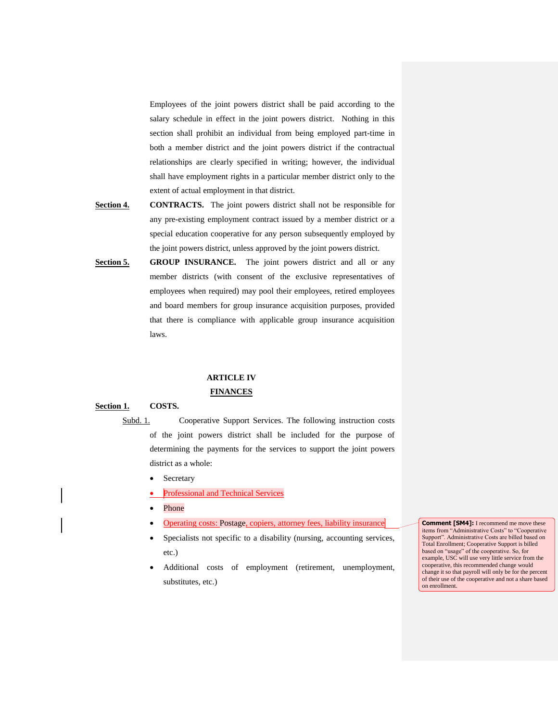Employees of the joint powers district shall be paid according to the salary schedule in effect in the joint powers district. Nothing in this section shall prohibit an individual from being employed part-time in both a member district and the joint powers district if the contractual relationships are clearly specified in writing; however, the individual shall have employment rights in a particular member district only to the extent of actual employment in that district.

- **Section 4. CONTRACTS.** The joint powers district shall not be responsible for any pre-existing employment contract issued by a member district or a special education cooperative for any person subsequently employed by the joint powers district, unless approved by the joint powers district.
- **Section 5. GROUP INSURANCE.** The joint powers district and all or any member districts (with consent of the exclusive representatives of employees when required) may pool their employees, retired employees and board members for group insurance acquisition purposes, provided that there is compliance with applicable group insurance acquisition laws.

# **ARTICLE IV FINANCES**

#### **Section 1. COSTS.**

- Subd. 1. Cooperative Support Services. The following instruction costs of the joint powers district shall be included for the purpose of determining the payments for the services to support the joint powers district as a whole:
	- Secretary
	- Professional and Technical Services
	- Phone
	- Operating costs: Postage, copiers, attorney fees, liability insurance
	- Specialists not specific to a disability (nursing, accounting services, etc.)
	- Additional costs of employment (retirement, unemployment, substitutes, etc.)

**Comment [SM4]:** I recommend me move these items from "Administrative Costs" to "Cooperative Support". Administrative Costs are billed based on Total Enrollment; Cooperative Support is billed based on "usage" of the cooperative. So, for example, USC will use very little service from the cooperative, this recommended change would change it so that payroll will only be for the percent of their use of the cooperative and not a share based on enrollment.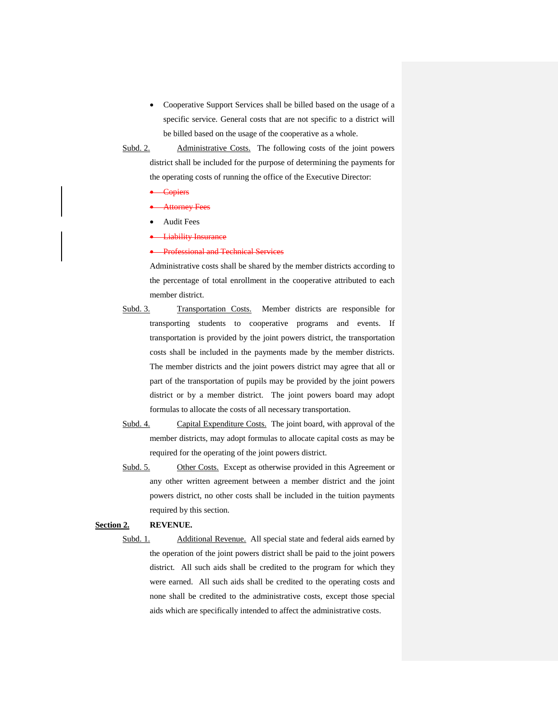- Cooperative Support Services shall be billed based on the usage of a specific service. General costs that are not specific to a district will be billed based on the usage of the cooperative as a whole.
- Subd. 2. Administrative Costs. The following costs of the joint powers district shall be included for the purpose of determining the payments for the operating costs of running the office of the Executive Director:
	- **Copiers**
	- Attorney Fees
	- Audit Fees
	- Liability Insurance
	- ional and Techni

Administrative costs shall be shared by the member districts according to the percentage of total enrollment in the cooperative attributed to each member district.

- Subd. 3. Transportation Costs. Member districts are responsible for transporting students to cooperative programs and events. If transportation is provided by the joint powers district, the transportation costs shall be included in the payments made by the member districts. The member districts and the joint powers district may agree that all or part of the transportation of pupils may be provided by the joint powers district or by a member district. The joint powers board may adopt formulas to allocate the costs of all necessary transportation.
- Subd. 4. Capital Expenditure Costs. The joint board, with approval of the member districts, may adopt formulas to allocate capital costs as may be required for the operating of the joint powers district.
- Subd. 5. Other Costs. Except as otherwise provided in this Agreement or any other written agreement between a member district and the joint powers district, no other costs shall be included in the tuition payments required by this section.

#### **Section 2. REVENUE.**

Subd. 1. Additional Revenue. All special state and federal aids earned by the operation of the joint powers district shall be paid to the joint powers district. All such aids shall be credited to the program for which they were earned. All such aids shall be credited to the operating costs and none shall be credited to the administrative costs, except those special aids which are specifically intended to affect the administrative costs.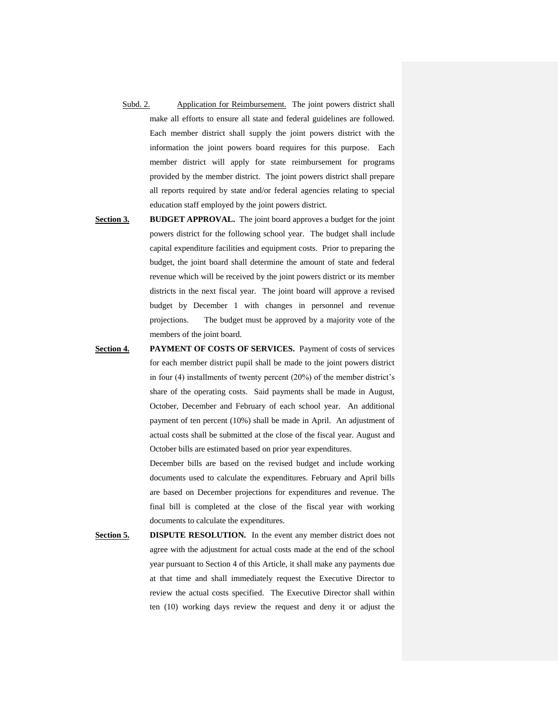- Subd. 2. Application for Reimbursement. The joint powers district shall make all efforts to ensure all state and federal guidelines are followed. Each member district shall supply the joint powers district with the information the joint powers board requires for this purpose. Each member district will apply for state reimbursement for programs provided by the member district. The joint powers district shall prepare all reports required by state and/or federal agencies relating to special education staff employed by the joint powers district.
- **Section 3. BUDGET APPROVAL.** The joint board approves a budget for the joint powers district for the following school year. The budget shall include capital expenditure facilities and equipment costs. Prior to preparing the budget, the joint board shall determine the amount of state and federal revenue which will be received by the joint powers district or its member districts in the next fiscal year. The joint board will approve a revised budget by December 1 with changes in personnel and revenue projections. The budget must be approved by a majority vote of the members of the joint board.
- **Section 4. PAYMENT OF COSTS OF SERVICES.** Payment of costs of services for each member district pupil shall be made to the joint powers district in four (4) installments of twenty percent (20%) of the member district's share of the operating costs. Said payments shall be made in August, October, December and February of each school year. An additional payment of ten percent (10%) shall be made in April. An adjustment of actual costs shall be submitted at the close of the fiscal year. August and October bills are estimated based on prior year expenditures.

December bills are based on the revised budget and include working documents used to calculate the expenditures. February and April bills are based on December projections for expenditures and revenue. The final bill is completed at the close of the fiscal year with working documents to calculate the expenditures.

**Section 5. DISPUTE RESOLUTION.** In the event any member district does not agree with the adjustment for actual costs made at the end of the school year pursuant to Section 4 of this Article, it shall make any payments due at that time and shall immediately request the Executive Director to review the actual costs specified. The Executive Director shall within ten (10) working days review the request and deny it or adjust the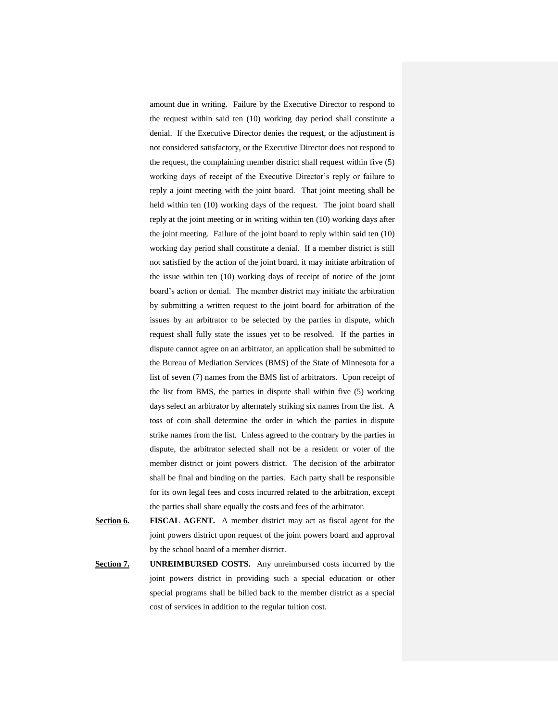amount due in writing. Failure by the Executive Director to respond to the request within said ten (10) working day period shall constitute a denial. If the Executive Director denies the request, or the adjustment is not considered satisfactory, or the Executive Director does not respond to the request, the complaining member district shall request within five (5) working days of receipt of the Executive Director's reply or failure to reply a joint meeting with the joint board. That joint meeting shall be held within ten (10) working days of the request. The joint board shall reply at the joint meeting or in writing within ten (10) working days after the joint meeting. Failure of the joint board to reply within said ten (10) working day period shall constitute a denial. If a member district is still not satisfied by the action of the joint board, it may initiate arbitration of the issue within ten (10) working days of receipt of notice of the joint board's action or denial. The member district may initiate the arbitration by submitting a written request to the joint board for arbitration of the issues by an arbitrator to be selected by the parties in dispute, which request shall fully state the issues yet to be resolved. If the parties in dispute cannot agree on an arbitrator, an application shall be submitted to the Bureau of Mediation Services (BMS) of the State of Minnesota for a list of seven (7) names from the BMS list of arbitrators. Upon receipt of the list from BMS, the parties in dispute shall within five (5) working days select an arbitrator by alternately striking six names from the list. A toss of coin shall determine the order in which the parties in dispute strike names from the list. Unless agreed to the contrary by the parties in dispute, the arbitrator selected shall not be a resident or voter of the member district or joint powers district. The decision of the arbitrator shall be final and binding on the parties. Each party shall be responsible for its own legal fees and costs incurred related to the arbitration, except the parties shall share equally the costs and fees of the arbitrator.

- **Section 6. FISCAL AGENT.** A member district may act as fiscal agent for the joint powers district upon request of the joint powers board and approval by the school board of a member district.
- **Section 7. UNREIMBURSED COSTS.** Any unreimbursed costs incurred by the joint powers district in providing such a special education or other special programs shall be billed back to the member district as a special cost of services in addition to the regular tuition cost.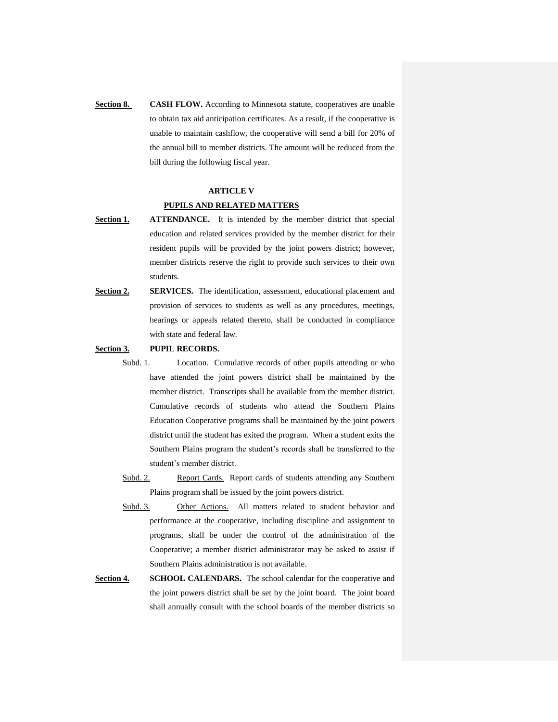**Section 8. CASH FLOW.** According to Minnesota statute, cooperatives are unable to obtain tax aid anticipation certificates. As a result, if the cooperative is unable to maintain cashflow, the cooperative will send a bill for 20% of the annual bill to member districts. The amount will be reduced from the bill during the following fiscal year.

## **ARTICLE V**

## **PUPILS AND RELATED MATTERS**

- **Section 1. ATTENDANCE.** It is intended by the member district that special education and related services provided by the member district for their resident pupils will be provided by the joint powers district; however, member districts reserve the right to provide such services to their own students.
- **Section 2. SERVICES.** The identification, assessment, educational placement and provision of services to students as well as any procedures, meetings, hearings or appeals related thereto, shall be conducted in compliance with state and federal law.

#### **Section 3. PUPIL RECORDS.**

- Subd. 1. Location. Cumulative records of other pupils attending or who have attended the joint powers district shall be maintained by the member district. Transcripts shall be available from the member district. Cumulative records of students who attend the Southern Plains Education Cooperative programs shall be maintained by the joint powers district until the student has exited the program. When a student exits the Southern Plains program the student's records shall be transferred to the student's member district.
- Subd. 2. Report Cards. Report cards of students attending any Southern Plains program shall be issued by the joint powers district.
- Subd. 3. Other Actions. All matters related to student behavior and performance at the cooperative, including discipline and assignment to programs, shall be under the control of the administration of the Cooperative; a member district administrator may be asked to assist if Southern Plains administration is not available.
- **Section 4. SCHOOL CALENDARS.** The school calendar for the cooperative and the joint powers district shall be set by the joint board. The joint board shall annually consult with the school boards of the member districts so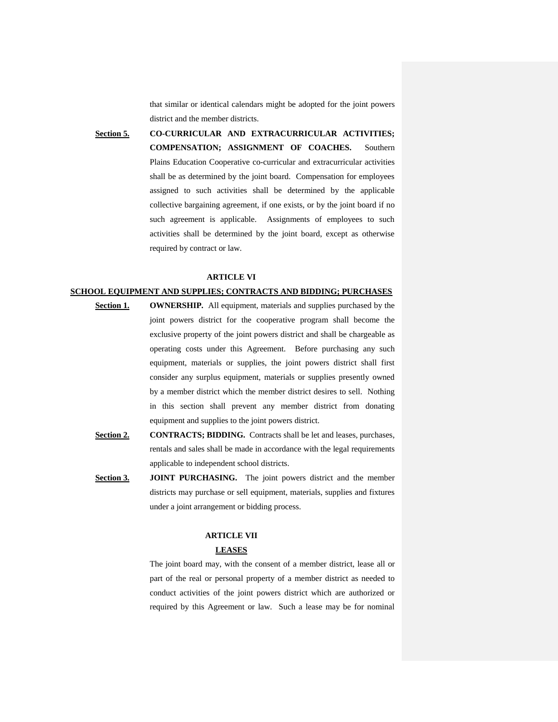that similar or identical calendars might be adopted for the joint powers district and the member districts.

**Section 5. CO-CURRICULAR AND EXTRACURRICULAR ACTIVITIES; COMPENSATION; ASSIGNMENT OF COACHES.** Southern Plains Education Cooperative co-curricular and extracurricular activities shall be as determined by the joint board. Compensation for employees assigned to such activities shall be determined by the applicable collective bargaining agreement, if one exists, or by the joint board if no such agreement is applicable. Assignments of employees to such activities shall be determined by the joint board, except as otherwise required by contract or law.

#### **ARTICLE VI**

#### **SCHOOL EQUIPMENT AND SUPPLIES; CONTRACTS AND BIDDING; PURCHASES**

- **Section 1. OWNERSHIP.** All equipment, materials and supplies purchased by the joint powers district for the cooperative program shall become the exclusive property of the joint powers district and shall be chargeable as operating costs under this Agreement. Before purchasing any such equipment, materials or supplies, the joint powers district shall first consider any surplus equipment, materials or supplies presently owned by a member district which the member district desires to sell. Nothing in this section shall prevent any member district from donating equipment and supplies to the joint powers district.
- Section 2. **CONTRACTS; BIDDING.** Contracts shall be let and leases, purchases, rentals and sales shall be made in accordance with the legal requirements applicable to independent school districts.
- **Section 3. JOINT PURCHASING.** The joint powers district and the member districts may purchase or sell equipment, materials, supplies and fixtures under a joint arrangement or bidding process.

## **ARTICLE VII**

#### **LEASES**

The joint board may, with the consent of a member district, lease all or part of the real or personal property of a member district as needed to conduct activities of the joint powers district which are authorized or required by this Agreement or law. Such a lease may be for nominal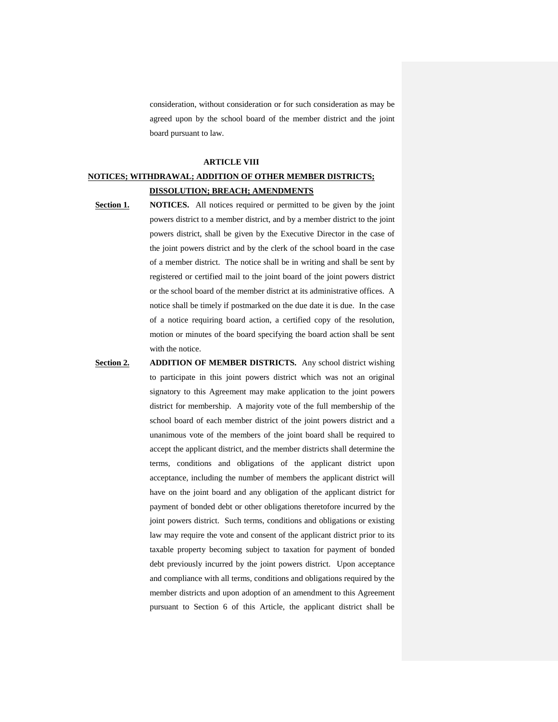consideration, without consideration or for such consideration as may be agreed upon by the school board of the member district and the joint board pursuant to law.

#### **ARTICLE VIII**

# **NOTICES; WITHDRAWAL; ADDITION OF OTHER MEMBER DISTRICTS; DISSOLUTION; BREACH; AMENDMENTS**

- **Section 1. NOTICES.** All notices required or permitted to be given by the joint powers district to a member district, and by a member district to the joint powers district, shall be given by the Executive Director in the case of the joint powers district and by the clerk of the school board in the case of a member district. The notice shall be in writing and shall be sent by registered or certified mail to the joint board of the joint powers district or the school board of the member district at its administrative offices. A notice shall be timely if postmarked on the due date it is due. In the case of a notice requiring board action, a certified copy of the resolution, motion or minutes of the board specifying the board action shall be sent with the notice.
- **Section 2. ADDITION OF MEMBER DISTRICTS.** Any school district wishing to participate in this joint powers district which was not an original signatory to this Agreement may make application to the joint powers district for membership. A majority vote of the full membership of the school board of each member district of the joint powers district and a unanimous vote of the members of the joint board shall be required to accept the applicant district, and the member districts shall determine the terms, conditions and obligations of the applicant district upon acceptance, including the number of members the applicant district will have on the joint board and any obligation of the applicant district for payment of bonded debt or other obligations theretofore incurred by the joint powers district. Such terms, conditions and obligations or existing law may require the vote and consent of the applicant district prior to its taxable property becoming subject to taxation for payment of bonded debt previously incurred by the joint powers district. Upon acceptance and compliance with all terms, conditions and obligations required by the member districts and upon adoption of an amendment to this Agreement pursuant to Section 6 of this Article, the applicant district shall be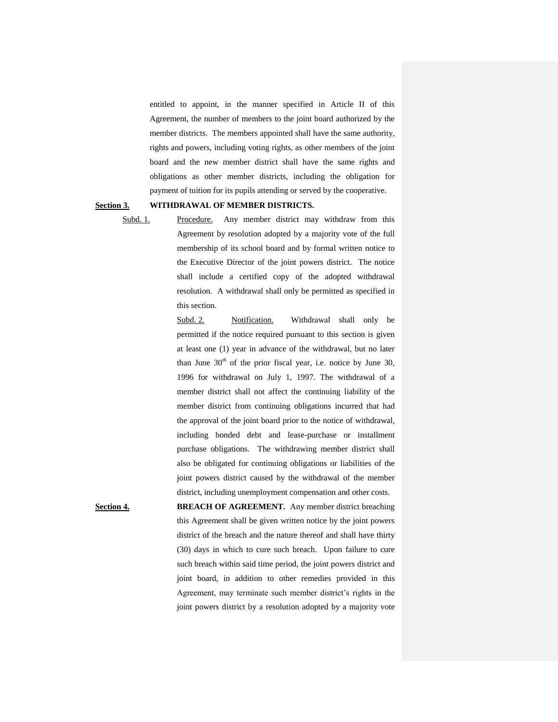entitled to appoint, in the manner specified in Article II of this Agreement, the number of members to the joint board authorized by the member districts. The members appointed shall have the same authority, rights and powers, including voting rights, as other members of the joint board and the new member district shall have the same rights and obligations as other member districts, including the obligation for payment of tuition for its pupils attending or served by the cooperative.

#### **Section 3. WITHDRAWAL OF MEMBER DISTRICTS.**

Subd. 1. Procedure. Any member district may withdraw from this Agreement by resolution adopted by a majority vote of the full membership of its school board and by formal written notice to the Executive Director of the joint powers district. The notice shall include a certified copy of the adopted withdrawal resolution. A withdrawal shall only be permitted as specified in this section.

> Subd. 2. Notification. Withdrawal shall only be permitted if the notice required pursuant to this section is given at least one (1) year in advance of the withdrawal, but no later than June  $30<sup>th</sup>$  of the prior fiscal year, i.e. notice by June 30, 1996 for withdrawal on July 1, 1997. The withdrawal of a member district shall not affect the continuing liability of the member district from continuing obligations incurred that had the approval of the joint board prior to the notice of withdrawal, including bonded debt and lease-purchase or installment purchase obligations. The withdrawing member district shall also be obligated for continuing obligations or liabilities of the joint powers district caused by the withdrawal of the member district, including unemployment compensation and other costs.

**Section 4. BREACH OF AGREEMENT.** Any member district breaching this Agreement shall be given written notice by the joint powers district of the breach and the nature thereof and shall have thirty (30) days in which to cure such breach. Upon failure to cure such breach within said time period, the joint powers district and joint board, in addition to other remedies provided in this Agreement, may terminate such member district's rights in the joint powers district by a resolution adopted by a majority vote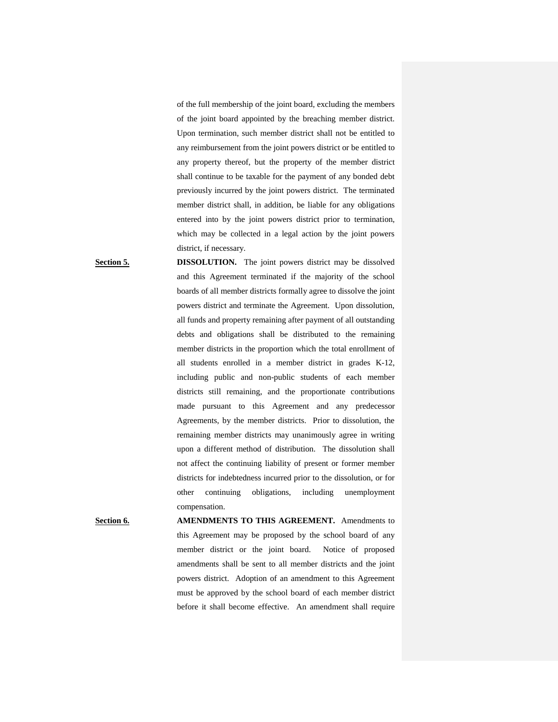of the full membership of the joint board, excluding the members of the joint board appointed by the breaching member district. Upon termination, such member district shall not be entitled to any reimbursement from the joint powers district or be entitled to any property thereof, but the property of the member district shall continue to be taxable for the payment of any bonded debt previously incurred by the joint powers district. The terminated member district shall, in addition, be liable for any obligations entered into by the joint powers district prior to termination, which may be collected in a legal action by the joint powers district, if necessary.

**Section 5. <b>DISSOLUTION.** The joint powers district may be dissolved and this Agreement terminated if the majority of the school boards of all member districts formally agree to dissolve the joint powers district and terminate the Agreement. Upon dissolution, all funds and property remaining after payment of all outstanding debts and obligations shall be distributed to the remaining member districts in the proportion which the total enrollment of all students enrolled in a member district in grades K-12, including public and non-public students of each member districts still remaining, and the proportionate contributions made pursuant to this Agreement and any predecessor Agreements, by the member districts. Prior to dissolution, the remaining member districts may unanimously agree in writing upon a different method of distribution. The dissolution shall not affect the continuing liability of present or former member districts for indebtedness incurred prior to the dissolution, or for other continuing obligations, including unemployment compensation.

**Section 6. AMENDMENTS TO THIS AGREEMENT.** Amendments to this Agreement may be proposed by the school board of any member district or the joint board. Notice of proposed amendments shall be sent to all member districts and the joint powers district. Adoption of an amendment to this Agreement must be approved by the school board of each member district before it shall become effective. An amendment shall require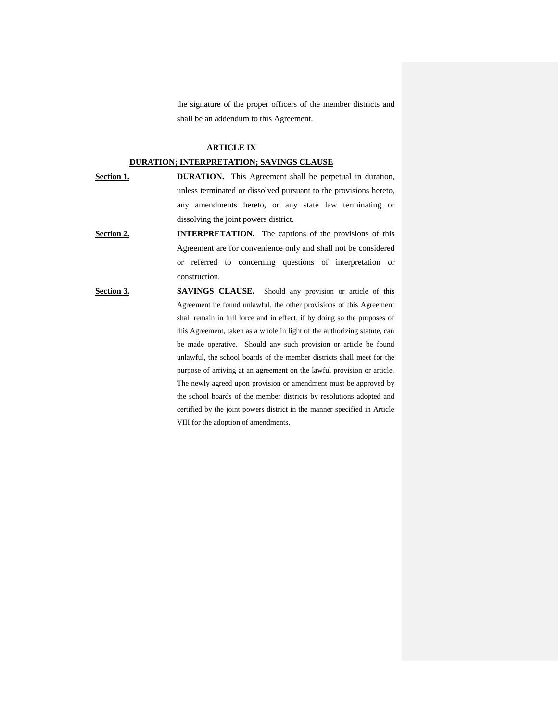the signature of the proper officers of the member districts and shall be an addendum to this Agreement.

## **ARTICLE IX**

## **DURATION; INTERPRETATION; SAVINGS CLAUSE**

- **Section 1. DURATION.** This Agreement shall be perpetual in duration, unless terminated or dissolved pursuant to the provisions hereto, any amendments hereto, or any state law terminating or dissolving the joint powers district.
- **Section 2. INTERPRETATION.** The captions of the provisions of this Agreement are for convenience only and shall not be considered or referred to concerning questions of interpretation or construction.
- **Section 3. SAVINGS CLAUSE.** Should any provision or article of this Agreement be found unlawful, the other provisions of this Agreement shall remain in full force and in effect, if by doing so the purposes of this Agreement, taken as a whole in light of the authorizing statute, can be made operative. Should any such provision or article be found unlawful, the school boards of the member districts shall meet for the purpose of arriving at an agreement on the lawful provision or article. The newly agreed upon provision or amendment must be approved by the school boards of the member districts by resolutions adopted and certified by the joint powers district in the manner specified in Article VIII for the adoption of amendments.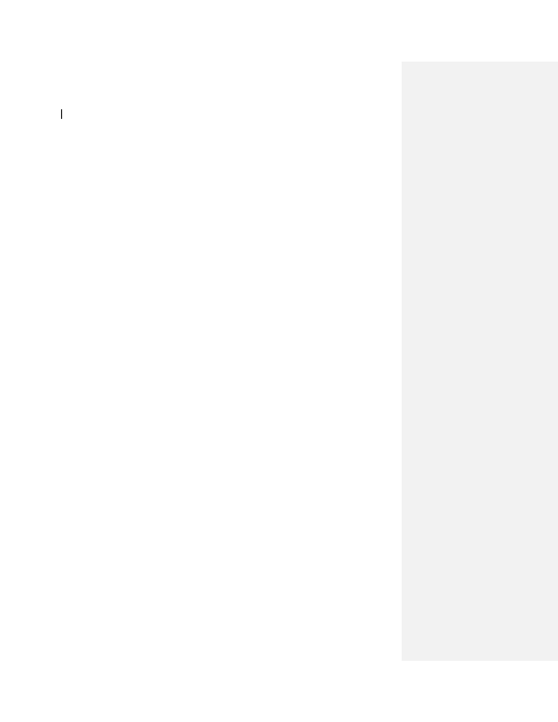$\begin{array}{c} \rule{0pt}{2ex} \rule{0pt}{2ex} \rule{0pt}{2ex} \rule{0pt}{2ex} \rule{0pt}{2ex} \rule{0pt}{2ex} \rule{0pt}{2ex} \rule{0pt}{2ex} \rule{0pt}{2ex} \rule{0pt}{2ex} \rule{0pt}{2ex} \rule{0pt}{2ex} \rule{0pt}{2ex} \rule{0pt}{2ex} \rule{0pt}{2ex} \rule{0pt}{2ex} \rule{0pt}{2ex} \rule{0pt}{2ex} \rule{0pt}{2ex} \rule{0pt}{2ex} \rule{0pt}{2ex} \rule{0pt}{2ex} \rule{0pt}{2ex} \rule{0pt}{$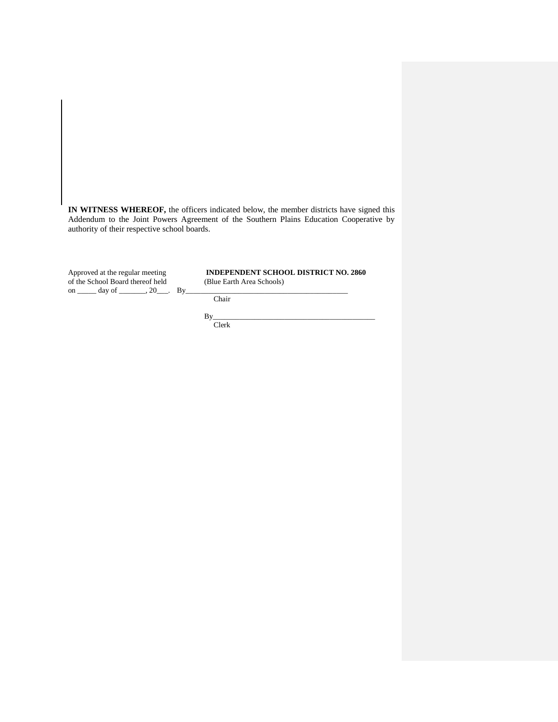| Approved at the regular meeting                    | <b>INDEPENDENT SCHOOL DISTRICT NO.</b> |
|----------------------------------------------------|----------------------------------------|
| of the School Board thereof held                   | (Blue Earth Area Schools)              |
| on $\_\_\_\$ day of $\_\_\_\_$ , 20 $\_\_\_\$ . By |                                        |
|                                                    |                                        |

#### INDEPENDENT SCHOOL DISTRICT NO. 2860 (Blue Earth Area Schools)

Chair

By\_\_\_\_\_\_\_\_\_\_\_\_\_\_\_\_\_\_\_\_\_\_\_\_\_\_\_\_\_\_\_\_\_\_\_\_\_\_\_\_\_\_\_ By<br>Clerk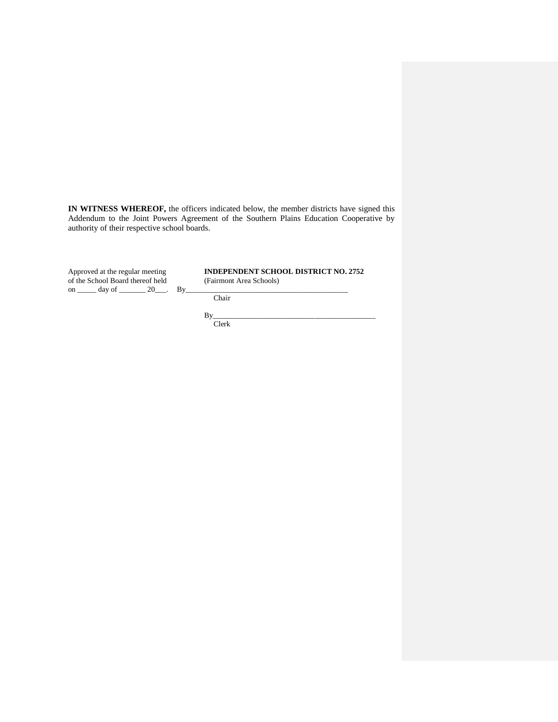| Approved at the regular meeting  | INDEPENDENT SCHOOL DISTRICT NO. |
|----------------------------------|---------------------------------|
| of the School Board thereof held | (Fairmont Area Schools)         |
| on day of 20 By                  |                                 |
|                                  |                                 |

### **INDEPENDENT SCHOOL DISTRICT NO. 2752** (Fairmont Area Schools)

Chair

By\_\_\_\_\_\_\_\_\_\_\_\_\_\_\_\_\_\_\_\_\_\_\_\_\_\_\_\_\_\_\_\_\_\_\_\_\_\_\_\_\_\_\_ **Clerk**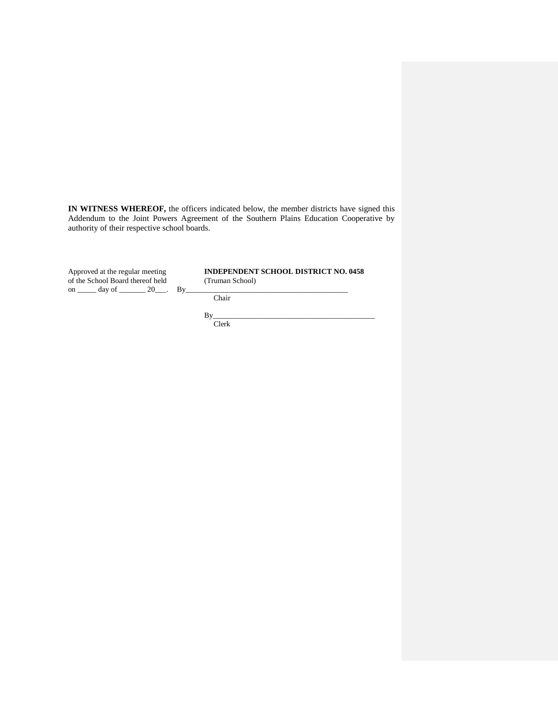| Approved at the regular meeting  | <b>INDEPENDENT SCHOOL DISTRICT NO. 0458</b> |
|----------------------------------|---------------------------------------------|
| of the School Board thereof held | (Truman School)                             |
| on day of 20.                    | Chair                                       |
|                                  |                                             |

Clerk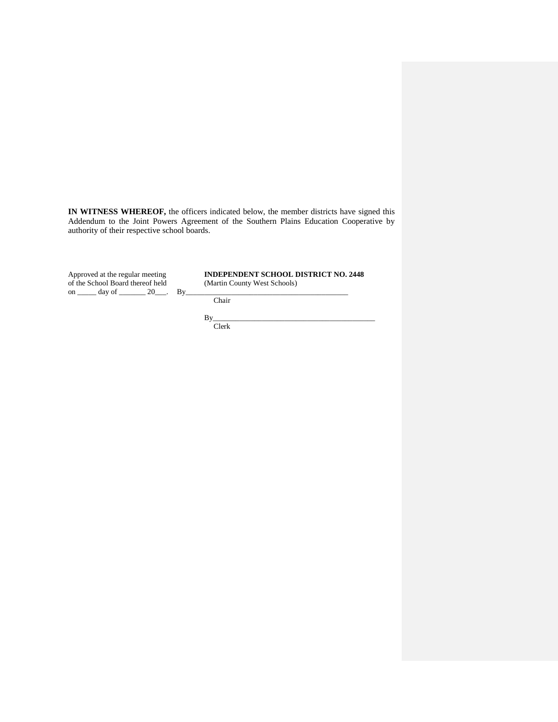Approved at the regular meeting<br>of the School Board thereof held on \_\_\_\_\_ day of \_\_\_\_\_\_\_ 20\_\_\_. By\_\_\_\_\_\_\_\_\_\_\_\_\_\_\_\_\_\_\_\_\_\_\_\_\_\_\_\_\_\_\_\_\_\_\_\_\_\_\_\_\_\_\_

# **INDEPENDENT SCHOOL DISTRICT NO. 2448** (Martin County West Schools)

Chair

 $By$ Clerk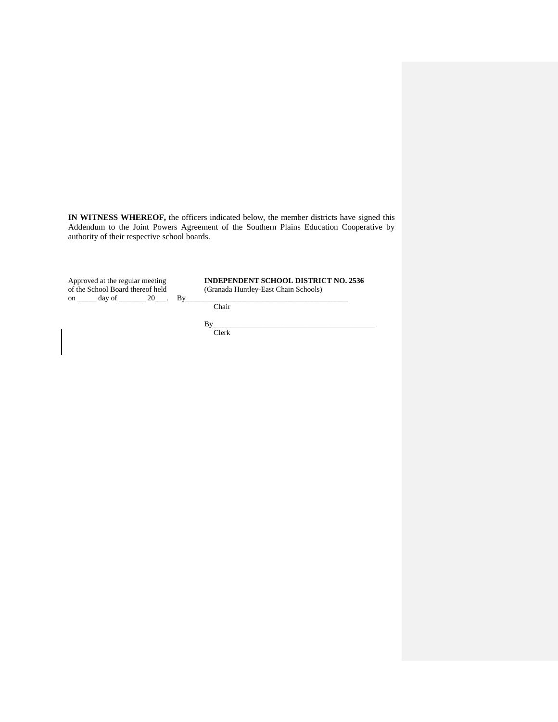| Approved at the regular meeting<br>of the School Board thereof held<br>on $\_\_\_\$ day of $\_\_\_\_$ 20 $\_\_\$ . | <b>INDEPENDENT SCHOOL DISTRICT NO. 2536</b><br>(Granada Huntley-East Chain Schools)<br>$\mathbf{B} \mathbf{v}$ and $\mathbf{B} \mathbf{v}$ and $\mathbf{B} \mathbf{v}$ are $\mathbf{v}$ and $\mathbf{v}$ and $\mathbf{v}$ are $\mathbf{v}$ and $\mathbf{v}$ are $\mathbf{v}$ and $\mathbf{v}$ are $\mathbf{v}$ and $\mathbf{v}$ are $\mathbf{v}$ and $\mathbf{v}$ are $\mathbf{v}$ and $\mathbf{v}$ |
|--------------------------------------------------------------------------------------------------------------------|-----------------------------------------------------------------------------------------------------------------------------------------------------------------------------------------------------------------------------------------------------------------------------------------------------------------------------------------------------------------------------------------------------|
|                                                                                                                    | Chair                                                                                                                                                                                                                                                                                                                                                                                               |
|                                                                                                                    | Bv<br>Clerk                                                                                                                                                                                                                                                                                                                                                                                         |